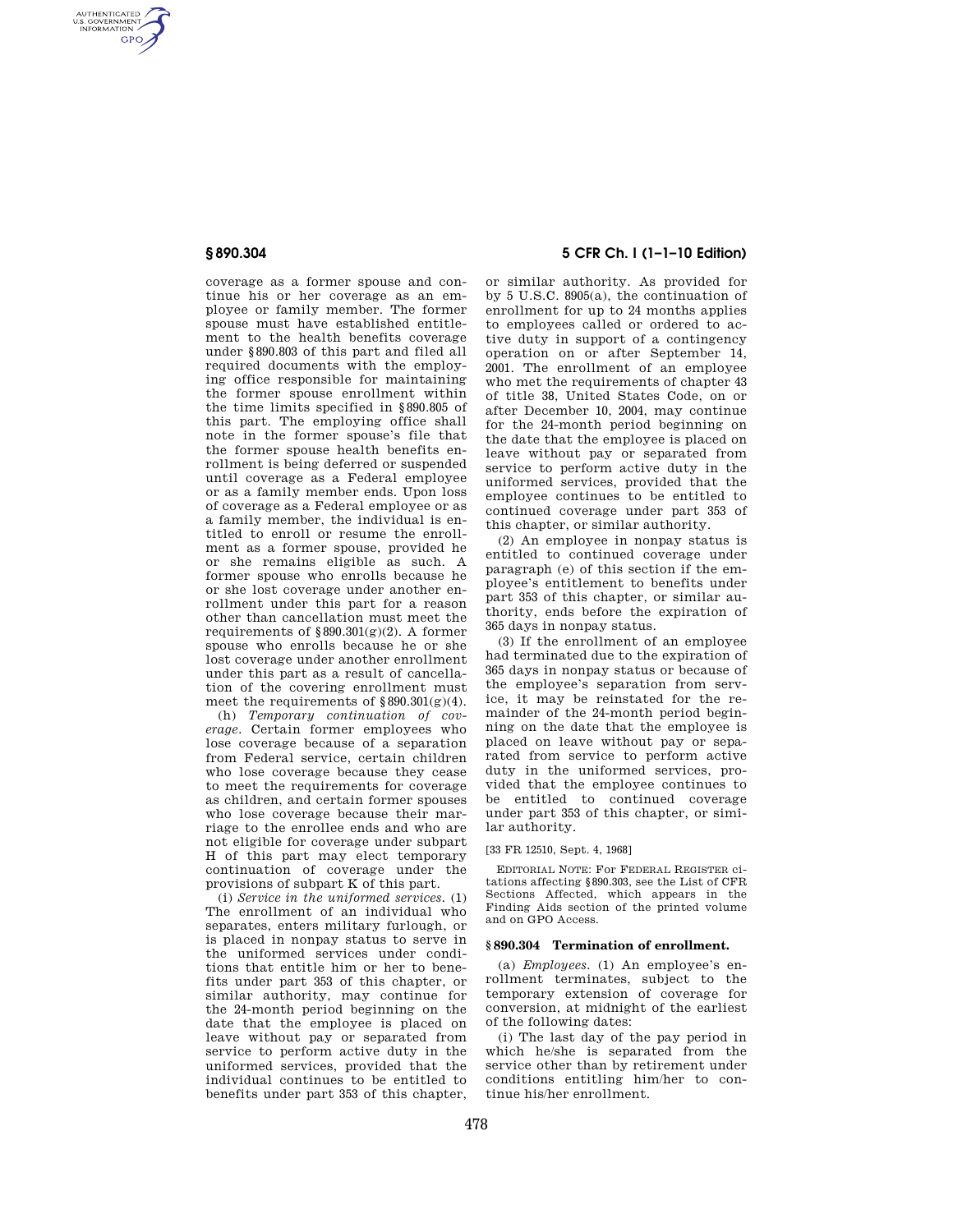AUTHENTICATED<br>U.S. GOVERNMENT<br>INFORMATION **GPO** 

> coverage as a former spouse and continue his or her coverage as an employee or family member. The former spouse must have established entitlement to the health benefits coverage under §890.803 of this part and filed all required documents with the employing office responsible for maintaining the former spouse enrollment within the time limits specified in §890.805 of this part. The employing office shall note in the former spouse's file that the former spouse health benefits enrollment is being deferred or suspended until coverage as a Federal employee or as a family member ends. Upon loss of coverage as a Federal employee or as a family member, the individual is entitled to enroll or resume the enrollment as a former spouse, provided he or she remains eligible as such. A former spouse who enrolls because he or she lost coverage under another enrollment under this part for a reason other than cancellation must meet the requirements of  $\S 890.301(g)(2)$ . A former spouse who enrolls because he or she lost coverage under another enrollment under this part as a result of cancellation of the covering enrollment must meet the requirements of  $§890.301(g)(4)$ .

> (h) *Temporary continuation of coverage.* Certain former employees who lose coverage because of a separation from Federal service, certain children who lose coverage because they cease to meet the requirements for coverage as children, and certain former spouses who lose coverage because their marriage to the enrollee ends and who are not eligible for coverage under subpart H of this part may elect temporary continuation of coverage under the provisions of subpart K of this part.

> (i) *Service in the uniformed services.* (1) The enrollment of an individual who separates, enters military furlough, or is placed in nonpay status to serve in the uniformed services under conditions that entitle him or her to benefits under part 353 of this chapter, or similar authority, may continue for the 24-month period beginning on the date that the employee is placed on leave without pay or separated from service to perform active duty in the uniformed services, provided that the individual continues to be entitled to benefits under part 353 of this chapter,

# **§ 890.304 5 CFR Ch. I (1–1–10 Edition)**

or similar authority. As provided for by 5 U.S.C. 8905(a), the continuation of enrollment for up to 24 months applies to employees called or ordered to active duty in support of a contingency operation on or after September 14, 2001. The enrollment of an employee who met the requirements of chapter 43 of title 38, United States Code, on or after December 10, 2004, may continue for the 24-month period beginning on the date that the employee is placed on leave without pay or separated from service to perform active duty in the uniformed services, provided that the employee continues to be entitled to continued coverage under part 353 of this chapter, or similar authority.

(2) An employee in nonpay status is entitled to continued coverage under paragraph (e) of this section if the employee's entitlement to benefits under part 353 of this chapter, or similar authority, ends before the expiration of 365 days in nonpay status.

(3) If the enrollment of an employee had terminated due to the expiration of 365 days in nonpay status or because of the employee's separation from service, it may be reinstated for the remainder of the 24-month period beginning on the date that the employee is placed on leave without pay or separated from service to perform active duty in the uniformed services, provided that the employee continues to be entitled to continued coverage under part 353 of this chapter, or similar authority.

[33 FR 12510, Sept. 4, 1968]

EDITORIAL NOTE: For FEDERAL REGISTER citations affecting §890.303, see the List of CFR Sections Affected, which appears in the Finding Aids section of the printed volume and on GPO Access.

## **§ 890.304 Termination of enrollment.**

(a) *Employees.* (1) An employee's enrollment terminates, subject to the temporary extension of coverage for conversion, at midnight of the earliest of the following dates:

(i) The last day of the pay period in which he/she is separated from the service other than by retirement under conditions entitling him/her to continue his/her enrollment.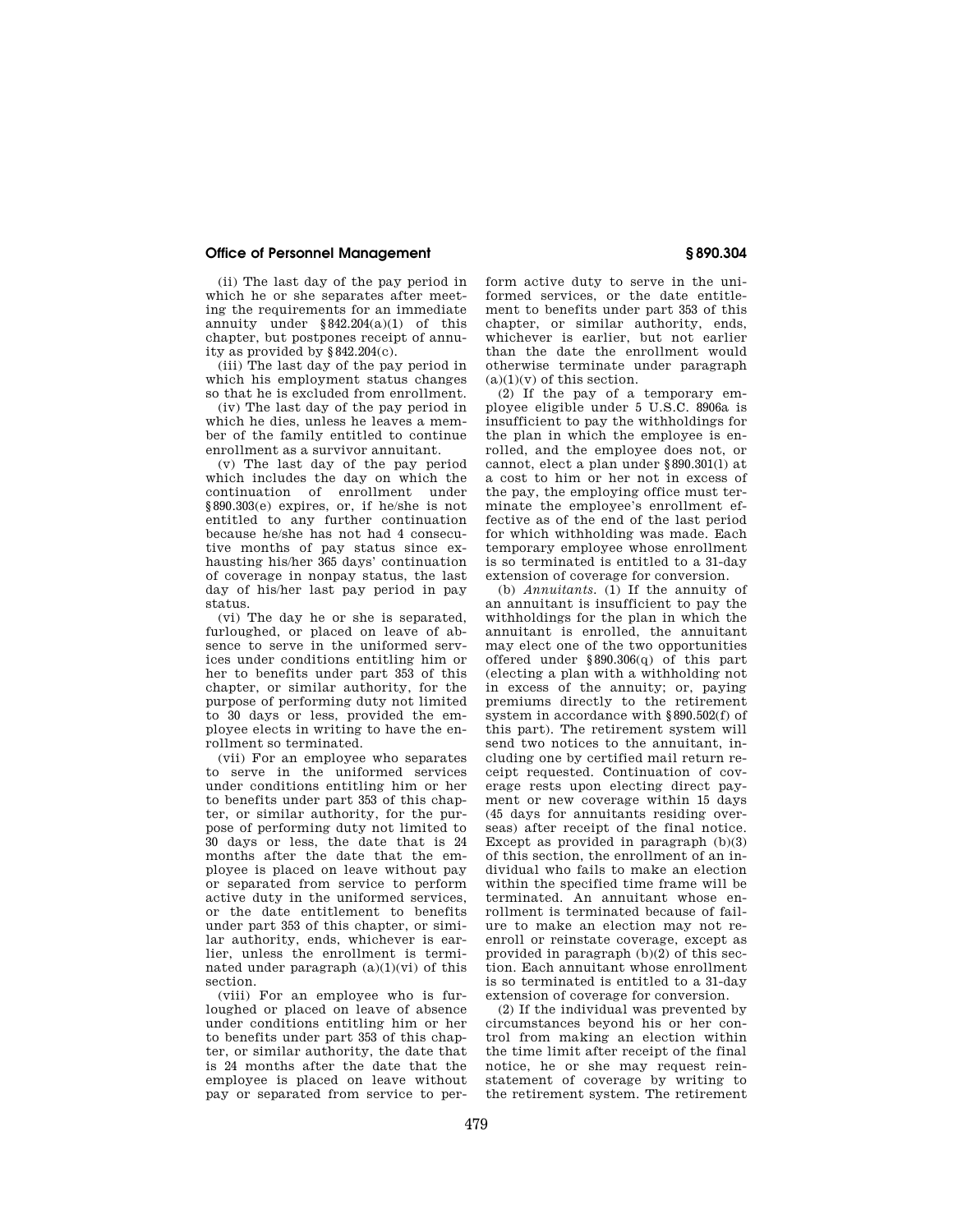## **Office of Personnel Management § 890.304**

(ii) The last day of the pay period in which he or she separates after meeting the requirements for an immediate annuity under  $§ 842.204(a)(1)$  of this chapter, but postpones receipt of annuity as provided by §842.204(c).

(iii) The last day of the pay period in which his employment status changes so that he is excluded from enrollment.

(iv) The last day of the pay period in which he dies, unless he leaves a member of the family entitled to continue enrollment as a survivor annuitant.

(v) The last day of the pay period which includes the day on which the continuation of enrollment under §890.303(e) expires, or, if he/she is not entitled to any further continuation because he/she has not had 4 consecutive months of pay status since exhausting his/her 365 days' continuation of coverage in nonpay status, the last day of his/her last pay period in pay status.

(vi) The day he or she is separated, furloughed, or placed on leave of absence to serve in the uniformed services under conditions entitling him or her to benefits under part 353 of this chapter, or similar authority, for the purpose of performing duty not limited to 30 days or less, provided the employee elects in writing to have the enrollment so terminated.

(vii) For an employee who separates to serve in the uniformed services under conditions entitling him or her to benefits under part 353 of this chapter, or similar authority, for the purpose of performing duty not limited to 30 days or less, the date that is 24 months after the date that the employee is placed on leave without pay or separated from service to perform active duty in the uniformed services, or the date entitlement to benefits under part 353 of this chapter, or similar authority, ends, whichever is earlier, unless the enrollment is terminated under paragraph  $(a)(1)(vi)$  of this section.

(viii) For an employee who is furloughed or placed on leave of absence under conditions entitling him or her to benefits under part 353 of this chapter, or similar authority, the date that is 24 months after the date that the employee is placed on leave without pay or separated from service to perform active duty to serve in the uniformed services, or the date entitlement to benefits under part 353 of this chapter, or similar authority, ends, whichever is earlier, but not earlier than the date the enrollment would otherwise terminate under paragraph  $(a)(1)(y)$  of this section.

(2) If the pay of a temporary employee eligible under 5 U.S.C. 8906a is insufficient to pay the withholdings for the plan in which the employee is enrolled, and the employee does not, or cannot, elect a plan under §890.301(l) at a cost to him or her not in excess of the pay, the employing office must terminate the employee's enrollment effective as of the end of the last period for which withholding was made. Each temporary employee whose enrollment is so terminated is entitled to a 31-day extension of coverage for conversion.

(b) *Annuitants.* (1) If the annuity of an annuitant is insufficient to pay the withholdings for the plan in which the annuitant is enrolled, the annuitant may elect one of the two opportunities offered under §890.306(q) of this part (electing a plan with a withholding not in excess of the annuity; or, paying premiums directly to the retirement system in accordance with §890.502(f) of this part). The retirement system will send two notices to the annuitant, including one by certified mail return receipt requested. Continuation of coverage rests upon electing direct payment or new coverage within 15 days (45 days for annuitants residing overseas) after receipt of the final notice. Except as provided in paragraph  $(b)(3)$ of this section, the enrollment of an individual who fails to make an election within the specified time frame will be terminated. An annuitant whose enrollment is terminated because of failure to make an election may not reenroll or reinstate coverage, except as provided in paragraph (b)(2) of this section. Each annuitant whose enrollment is so terminated is entitled to a 31-day extension of coverage for conversion.

(2) If the individual was prevented by circumstances beyond his or her control from making an election within the time limit after receipt of the final notice, he or she may request reinstatement of coverage by writing to the retirement system. The retirement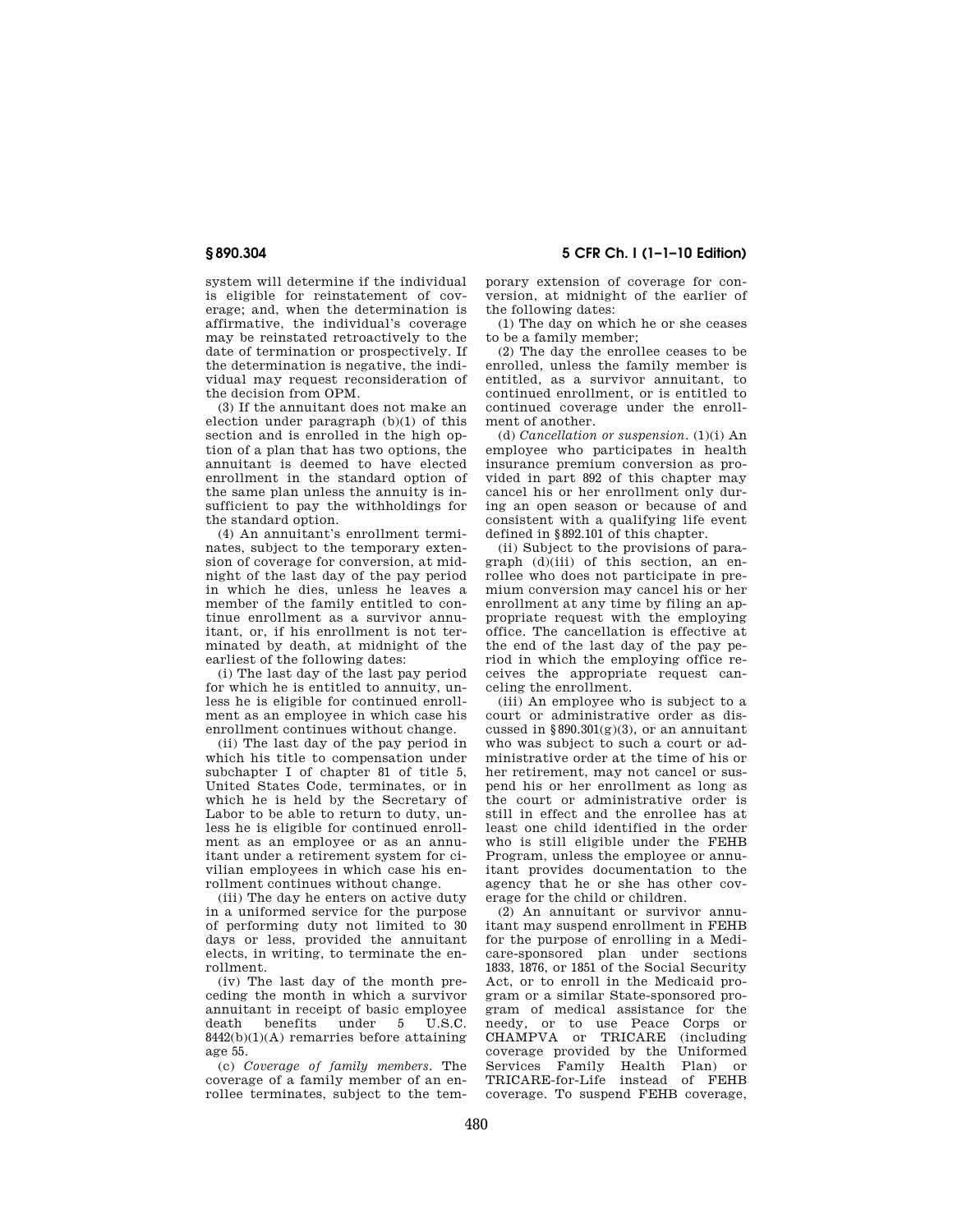system will determine if the individual is eligible for reinstatement of coverage; and, when the determination is affirmative, the individual's coverage may be reinstated retroactively to the date of termination or prospectively. If the determination is negative, the individual may request reconsideration of the decision from OPM.

(3) If the annuitant does not make an election under paragraph (b)(1) of this section and is enrolled in the high option of a plan that has two options, the annuitant is deemed to have elected enrollment in the standard option of the same plan unless the annuity is insufficient to pay the withholdings for the standard option.

(4) An annuitant's enrollment terminates, subject to the temporary extension of coverage for conversion, at midnight of the last day of the pay period in which he dies, unless he leaves a member of the family entitled to continue enrollment as a survivor annuitant, or, if his enrollment is not terminated by death, at midnight of the earliest of the following dates:

(i) The last day of the last pay period for which he is entitled to annuity, unless he is eligible for continued enrollment as an employee in which case his enrollment continues without change.

(ii) The last day of the pay period in which his title to compensation under subchapter I of chapter 81 of title 5, United States Code, terminates, or in which he is held by the Secretary of Labor to be able to return to duty, unless he is eligible for continued enrollment as an employee or as an annuitant under a retirement system for civilian employees in which case his enrollment continues without change.

(iii) The day he enters on active duty in a uniformed service for the purpose of performing duty not limited to 30 days or less, provided the annuitant elects, in writing, to terminate the enrollment.

(iv) The last day of the month preceding the month in which a survivor annuitant in receipt of basic employee death benefits under 5 U.S.C.  $8442(b)(1)(A)$  remarries before attaining age 55.

(c) *Coverage of family members.* The coverage of a family member of an enrollee terminates, subject to the tem-

**§ 890.304 5 CFR Ch. I (1–1–10 Edition)** 

porary extension of coverage for conversion, at midnight of the earlier of the following dates:

(1) The day on which he or she ceases to be a family member;

(2) The day the enrollee ceases to be enrolled, unless the family member is entitled, as a survivor annuitant, to continued enrollment, or is entitled to continued coverage under the enrollment of another.

(d) *Cancellation or suspension.* (1)(i) An employee who participates in health insurance premium conversion as provided in part 892 of this chapter may cancel his or her enrollment only during an open season or because of and consistent with a qualifying life event defined in §892.101 of this chapter.

(ii) Subject to the provisions of paragraph (d)(iii) of this section, an enrollee who does not participate in premium conversion may cancel his or her enrollment at any time by filing an appropriate request with the employing office. The cancellation is effective at the end of the last day of the pay period in which the employing office receives the appropriate request canceling the enrollment.

(iii) An employee who is subject to a court or administrative order as discussed in  $§890.301(g)(3)$ , or an annuitant who was subject to such a court or administrative order at the time of his or her retirement, may not cancel or suspend his or her enrollment as long as the court or administrative order is still in effect and the enrollee has at least one child identified in the order who is still eligible under the FEHB Program, unless the employee or annuitant provides documentation to the agency that he or she has other coverage for the child or children.

(2) An annuitant or survivor annuitant may suspend enrollment in FEHB for the purpose of enrolling in a Medicare-sponsored plan under sections 1833, 1876, or 1851 of the Social Security Act, or to enroll in the Medicaid program or a similar State-sponsored program of medical assistance for the needy, or to use Peace Corps or CHAMPVA or TRICARE (including coverage provided by the Uniformed Services Family Health Plan) or TRICARE-for-Life instead of FEHB coverage. To suspend FEHB coverage,